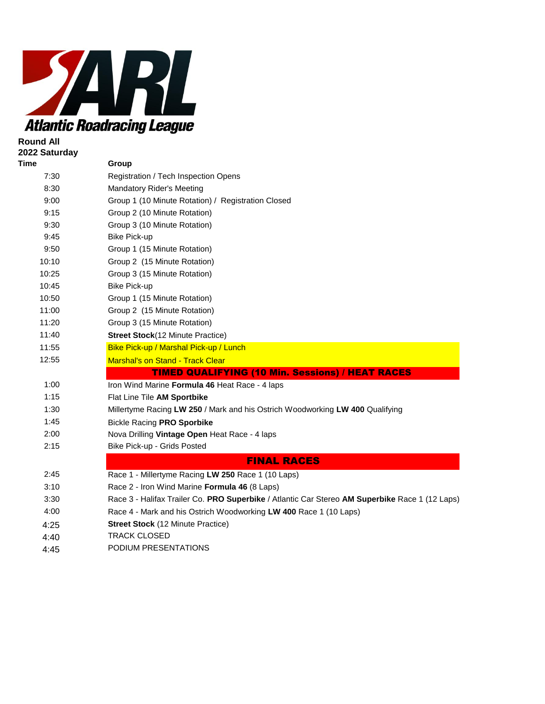

**Round All 2022 Saturday Time** 

|       | Group                                                                                          |
|-------|------------------------------------------------------------------------------------------------|
| 7:30  | Registration / Tech Inspection Opens                                                           |
| 8:30  | Mandatory Rider's Meeting                                                                      |
| 9:00  | Group 1 (10 Minute Rotation) / Registration Closed                                             |
| 9:15  | Group 2 (10 Minute Rotation)                                                                   |
| 9:30  | Group 3 (10 Minute Rotation)                                                                   |
| 9:45  | <b>Bike Pick-up</b>                                                                            |
| 9:50  | Group 1 (15 Minute Rotation)                                                                   |
| 10:10 | Group 2 (15 Minute Rotation)                                                                   |
| 10:25 | Group 3 (15 Minute Rotation)                                                                   |
| 10:45 | <b>Bike Pick-up</b>                                                                            |
| 10:50 | Group 1 (15 Minute Rotation)                                                                   |
| 11:00 | Group 2 (15 Minute Rotation)                                                                   |
| 11:20 | Group 3 (15 Minute Rotation)                                                                   |
| 11:40 | <b>Street Stock</b> (12 Minute Practice)                                                       |
| 11:55 | Bike Pick-up / Marshal Pick-up / Lunch                                                         |
| 12:55 | <b>Marshal's on Stand - Track Clear</b>                                                        |
|       | <b>TIMED QUALIFYING (10 Min. Sessions) / HEAT RACES</b>                                        |
| 1:00  | Iron Wind Marine Formula 46 Heat Race - 4 laps                                                 |
| 1:15  | Flat Line Tile AM Sportbike                                                                    |
| 1:30  | Millertyme Racing LW 250 / Mark and his Ostrich Woodworking LW 400 Qualifying                  |
| 1:45  | <b>Bickle Racing PRO Sporbike</b>                                                              |
| 2:00  | Nova Drilling Vintage Open Heat Race - 4 laps                                                  |
| 2:15  | Bike Pick-up - Grids Posted                                                                    |
|       | <b>FINAL RACES</b>                                                                             |
| 2:45  | Race 1 - Millertyme Racing LW 250 Race 1 (10 Laps)                                             |
| 3:10  | Race 2 - Iron Wind Marine Formula 46 (8 Laps)                                                  |
| 3:30  | Race 3 - Halifax Trailer Co. PRO Superbike / Atlantic Car Stereo AM Superbike Race 1 (12 Laps) |
| 4:00  | Race 4 - Mark and his Ostrich Woodworking LW 400 Race 1 (10 Laps)                              |
| 4:25  | <b>Street Stock (12 Minute Practice)</b>                                                       |
| 4:40  | <b>TRACK CLOSED</b>                                                                            |
| 4:45  | PODIUM PRESENTATIONS                                                                           |